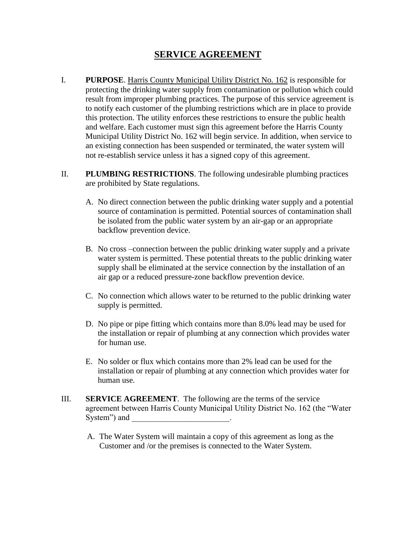## **SERVICE AGREEMENT**

- I. **PURPOSE**. Harris County Municipal Utility District No. 162 is responsible for protecting the drinking water supply from contamination or pollution which could result from improper plumbing practices. The purpose of this service agreement is to notify each customer of the plumbing restrictions which are in place to provide this protection. The utility enforces these restrictions to ensure the public health and welfare. Each customer must sign this agreement before the Harris County Municipal Utility District No. 162 will begin service. In addition, when service to an existing connection has been suspended or terminated, the water system will not re-establish service unless it has a signed copy of this agreement.
- II. **PLUMBING RESTRICTIONS**. The following undesirable plumbing practices are prohibited by State regulations.
	- A. No direct connection between the public drinking water supply and a potential source of contamination is permitted. Potential sources of contamination shall be isolated from the public water system by an air-gap or an appropriate backflow prevention device.
	- B. No cross –connection between the public drinking water supply and a private water system is permitted. These potential threats to the public drinking water supply shall be eliminated at the service connection by the installation of an air gap or a reduced pressure-zone backflow prevention device.
	- C. No connection which allows water to be returned to the public drinking water supply is permitted.
	- D. No pipe or pipe fitting which contains more than 8.0% lead may be used for the installation or repair of plumbing at any connection which provides water for human use.
	- E. No solder or flux which contains more than 2% lead can be used for the installation or repair of plumbing at any connection which provides water for human use.
- III. **SERVICE AGREEMENT**. The following are the terms of the service agreement between Harris County Municipal Utility District No. 162 (the "Water System") and \_\_\_\_\_\_\_\_\_\_\_\_\_\_\_\_\_\_\_\_\_\_\_\_.
	- A. The Water System will maintain a copy of this agreement as long as the Customer and /or the premises is connected to the Water System.